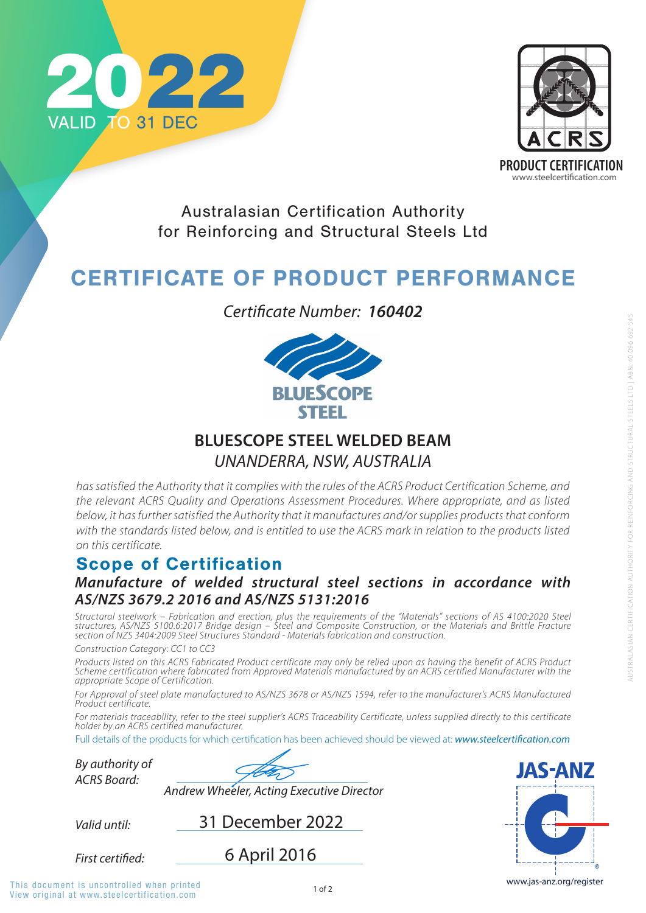

*By authority of* **JAS-ANZ** *ACRS Board: Andrew Wheeler, Acting Executive Director* 31 December 2022 *Valid until:* 6 April 2016 **First certified:** www.jas-anz.org/register This document is uncontrolled when printed

*has satisfied the Authority that it complies with the rules of the ACRS Product Certification Scheme, and the relevant ACRS Quality and Operations Assessment Procedures. Where appropriate, and as listed below, it has further satisfied the Authority that it manufactures and/or supplies products that conform*  with the standards listed below, and is entitled to use the ACRS mark in relation to the products listed *on this certificate.*

### Scope of Certification

View original at www.steelcertification.com



Australasian Certification Authority for Reinforcing and Structural Steels Ltd

# CERTIFICATE OF PRODUCT PERFORMANCE

*Manufacture of welded structural steel sections in accordance with AS/NZS 3679.2 2016 and AS/NZS 5131:2016*

*Structural steelwork – Fabrication and erection, plus the requirements of the "Materials" sections of AS 4100:2020 Steel structures, AS/NZS 5100.6:2017 Bridge design – Steel and Composite Construction, or the Materials and Brittle Fracture section of NZS 3404:2009 Steel Structures Standard - Materials fabrication and construction.* 

*Construction Category: CC1 to CC3* 

*Products listed on this ACRS Fabricated Product certificate may only be relied upon as having the benefit of ACRS Product Scheme certification where fabricated from Approved Materials manufactured by an ACRS certified Manufacturer with the appropriate Scope of Certification.* 

*For Approval of steel plate manufactured to AS/NZS 3678 or AS/NZS 1594, refer to the manufacturer's ACRS Manufactured Product certificate.* 

*For materials traceability, refer to the steel supplier's ACRS Traceability Certificate, unless supplied directly to this certificate holder by an ACRS certified manufacturer.*

Full details of the products for which certification has been achieved should be viewed at: **www.steelcertification.com** 

*Certificate Number: 160402*



### **BLUESCOPE STEEL WELDED BEAM** *UNANDERRA, NSW, AUSTRALIA*